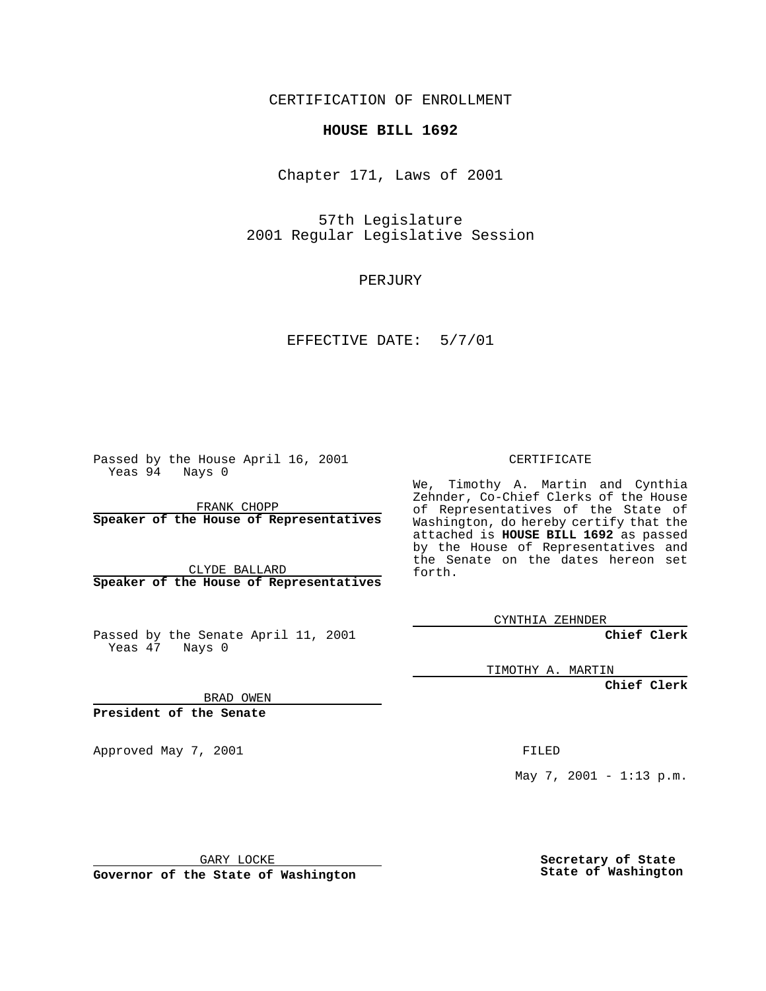CERTIFICATION OF ENROLLMENT

## **HOUSE BILL 1692**

Chapter 171, Laws of 2001

57th Legislature 2001 Regular Legislative Session

PERJURY

EFFECTIVE DATE: 5/7/01

Passed by the House April 16, 2001 Yeas 94 Nays 0

FRANK CHOPP **Speaker of the House of Representatives**

CLYDE BALLARD **Speaker of the House of Representatives**

Passed by the Senate April 11, 2001 Yeas 47 Nays 0

CERTIFICATE

We, Timothy A. Martin and Cynthia Zehnder, Co-Chief Clerks of the House of Representatives of the State of Washington, do hereby certify that the attached is **HOUSE BILL 1692** as passed by the House of Representatives and the Senate on the dates hereon set forth.

CYNTHIA ZEHNDER

**Chief Clerk**

TIMOTHY A. MARTIN

**Chief Clerk**

BRAD OWEN

**President of the Senate**

Approved May 7, 2001 FILED

May 7, 2001 - 1:13 p.m.

GARY LOCKE

**Governor of the State of Washington**

**Secretary of State State of Washington**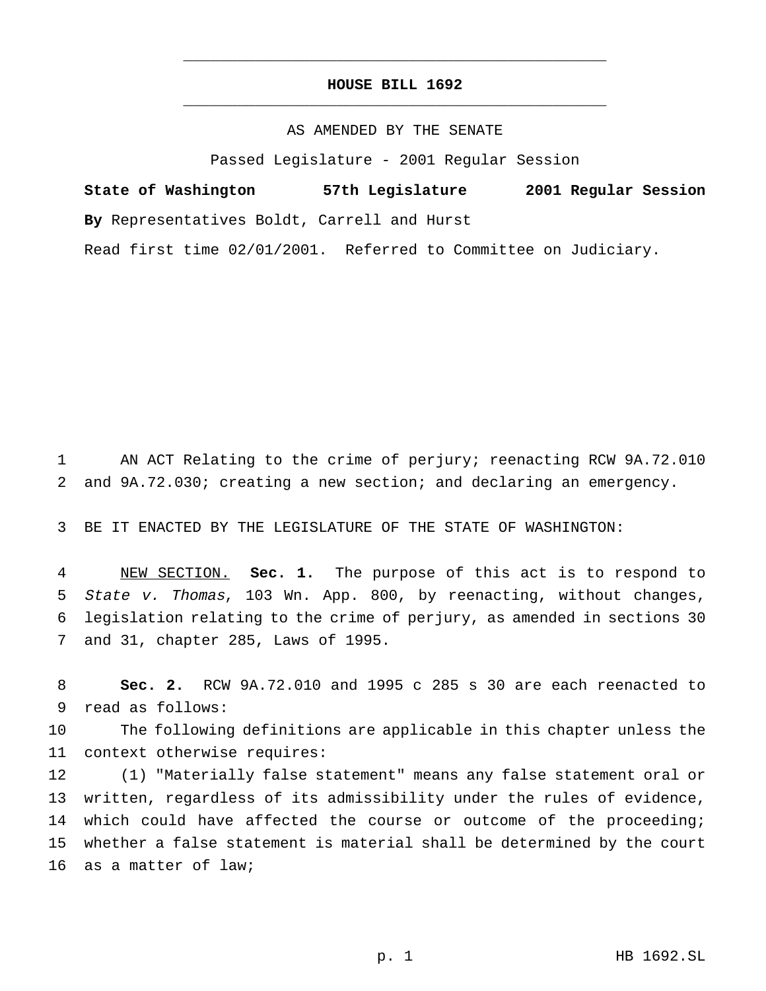## **HOUSE BILL 1692** \_\_\_\_\_\_\_\_\_\_\_\_\_\_\_\_\_\_\_\_\_\_\_\_\_\_\_\_\_\_\_\_\_\_\_\_\_\_\_\_\_\_\_\_\_\_\_

\_\_\_\_\_\_\_\_\_\_\_\_\_\_\_\_\_\_\_\_\_\_\_\_\_\_\_\_\_\_\_\_\_\_\_\_\_\_\_\_\_\_\_\_\_\_\_

## AS AMENDED BY THE SENATE

Passed Legislature - 2001 Regular Session

**State of Washington 57th Legislature 2001 Regular Session By** Representatives Boldt, Carrell and Hurst Read first time 02/01/2001. Referred to Committee on Judiciary.

1 AN ACT Relating to the crime of perjury; reenacting RCW 9A.72.010 2 and 9A.72.030; creating a new section; and declaring an emergency.

3 BE IT ENACTED BY THE LEGISLATURE OF THE STATE OF WASHINGTON:

 NEW SECTION. **Sec. 1.** The purpose of this act is to respond to State v. Thomas, 103 Wn. App. 800, by reenacting, without changes, legislation relating to the crime of perjury, as amended in sections 30 and 31, chapter 285, Laws of 1995.

8 **Sec. 2.** RCW 9A.72.010 and 1995 c 285 s 30 are each reenacted to 9 read as follows:

10 The following definitions are applicable in this chapter unless the 11 context otherwise requires:

 (1) "Materially false statement" means any false statement oral or written, regardless of its admissibility under the rules of evidence, 14 which could have affected the course or outcome of the proceeding; whether a false statement is material shall be determined by the court as a matter of law;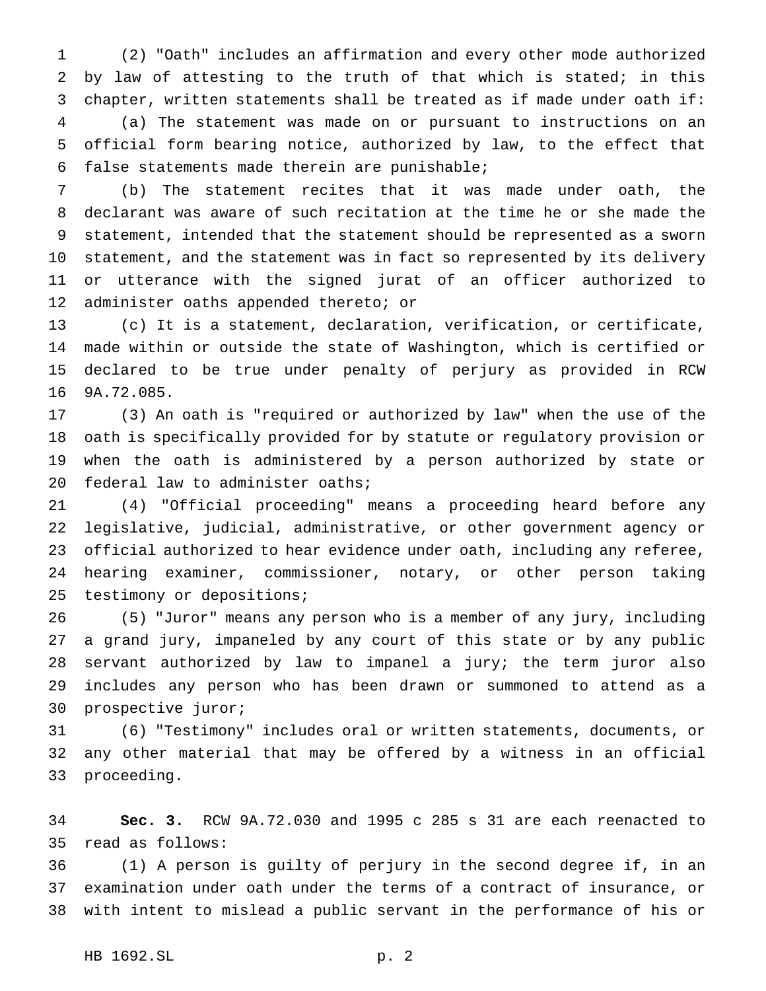(2) "Oath" includes an affirmation and every other mode authorized by law of attesting to the truth of that which is stated; in this chapter, written statements shall be treated as if made under oath if: (a) The statement was made on or pursuant to instructions on an official form bearing notice, authorized by law, to the effect that false statements made therein are punishable;

 (b) The statement recites that it was made under oath, the declarant was aware of such recitation at the time he or she made the statement, intended that the statement should be represented as a sworn statement, and the statement was in fact so represented by its delivery or utterance with the signed jurat of an officer authorized to administer oaths appended thereto; or

 (c) It is a statement, declaration, verification, or certificate, made within or outside the state of Washington, which is certified or declared to be true under penalty of perjury as provided in RCW 9A.72.085.

 (3) An oath is "required or authorized by law" when the use of the oath is specifically provided for by statute or regulatory provision or when the oath is administered by a person authorized by state or 20 federal law to administer oaths;

 (4) "Official proceeding" means a proceeding heard before any legislative, judicial, administrative, or other government agency or official authorized to hear evidence under oath, including any referee, hearing examiner, commissioner, notary, or other person taking testimony or depositions;

 (5) "Juror" means any person who is a member of any jury, including a grand jury, impaneled by any court of this state or by any public servant authorized by law to impanel a jury; the term juror also includes any person who has been drawn or summoned to attend as a prospective juror;

 (6) "Testimony" includes oral or written statements, documents, or any other material that may be offered by a witness in an official proceeding.

 **Sec. 3.** RCW 9A.72.030 and 1995 c 285 s 31 are each reenacted to read as follows:

 (1) A person is guilty of perjury in the second degree if, in an examination under oath under the terms of a contract of insurance, or with intent to mislead a public servant in the performance of his or